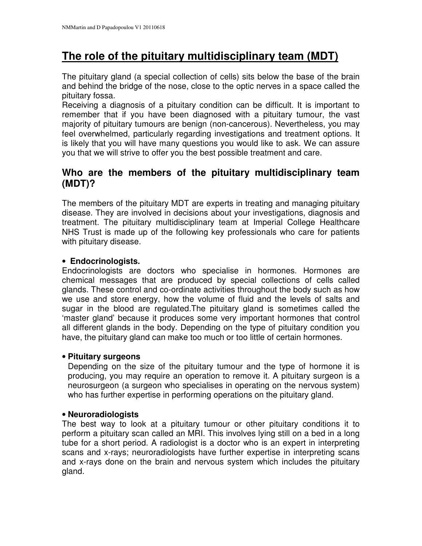# **The role of the pituitary multidisciplinary team (MDT)**

The pituitary gland (a special collection of cells) sits below the base of the brain and behind the bridge of the nose, close to the optic nerves in a space called the pituitary fossa.

Receiving a diagnosis of a pituitary condition can be difficult. It is important to remember that if you have been diagnosed with a pituitary tumour, the vast majority of pituitary tumours are benign (non-cancerous). Nevertheless, you may feel overwhelmed, particularly regarding investigations and treatment options. It is likely that you will have many questions you would like to ask. We can assure you that we will strive to offer you the best possible treatment and care.

# **Who are the members of the pituitary multidisciplinary team (MDT)?**

The members of the pituitary MDT are experts in treating and managing pituitary disease. They are involved in decisions about your investigations, diagnosis and treatment. The pituitary multidisciplinary team at Imperial College Healthcare NHS Trust is made up of the following key professionals who care for patients with pituitary disease.

### • **Endocrinologists.**

Endocrinologists are doctors who specialise in hormones. Hormones are chemical messages that are produced by special collections of cells called glands. These control and co-ordinate activities throughout the body such as how we use and store energy, how the volume of fluid and the levels of salts and sugar in the blood are regulated.The pituitary gland is sometimes called the 'master gland' because it produces some very important hormones that control all different glands in the body. Depending on the type of pituitary condition you have, the pituitary gland can make too much or too little of certain hormones.

### • **Pituitary surgeons**

Depending on the size of the pituitary tumour and the type of hormone it is producing, you may require an operation to remove it. A pituitary surgeon is a neurosurgeon (a surgeon who specialises in operating on the nervous system) who has further expertise in performing operations on the pituitary gland.

### • **Neuroradiologists**

The best way to look at a pituitary tumour or other pituitary conditions it to perform a pituitary scan called an MRI. This involves lying still on a bed in a long tube for a short period. A radiologist is a doctor who is an expert in interpreting scans and x-rays; neuroradiologists have further expertise in interpreting scans and x-rays done on the brain and nervous system which includes the pituitary gland.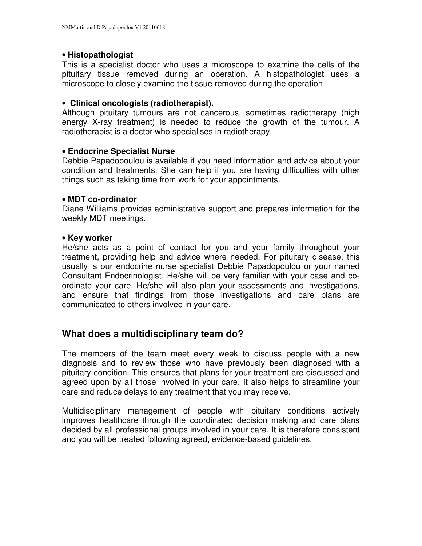#### • **Histopathologist**

This is a specialist doctor who uses a microscope to examine the cells of the pituitary tissue removed during an operation. A histopathologist uses a microscope to closely examine the tissue removed during the operation

#### • **Clinical oncologists (radiotherapist).**

Although pituitary tumours are not cancerous, sometimes radiotherapy (high energy X-ray treatment) is needed to reduce the growth of the tumour. A radiotherapist is a doctor who specialises in radiotherapy.

#### • **Endocrine Specialist Nurse**

Debbie Papadopoulou is available if you need information and advice about your condition and treatments. She can help if you are having difficulties with other things such as taking time from work for your appointments.

#### • **MDT co-ordinator**

Diane Williams provides administrative support and prepares information for the weekly MDT meetings.

#### • **Key worker**

He/she acts as a point of contact for you and your family throughout your treatment, providing help and advice where needed. For pituitary disease, this usually is our endocrine nurse specialist Debbie Papadopoulou or your named Consultant Endocrinologist. He/she will be very familiar with your case and coordinate your care. He/she will also plan your assessments and investigations, and ensure that findings from those investigations and care plans are communicated to others involved in your care.

### **What does a multidisciplinary team do?**

The members of the team meet every week to discuss people with a new diagnosis and to review those who have previously been diagnosed with a pituitary condition. This ensures that plans for your treatment are discussed and agreed upon by all those involved in your care. It also helps to streamline your care and reduce delays to any treatment that you may receive.

Multidisciplinary management of people with pituitary conditions actively improves healthcare through the coordinated decision making and care plans decided by all professional groups involved in your care. It is therefore consistent and you will be treated following agreed, evidence-based guidelines.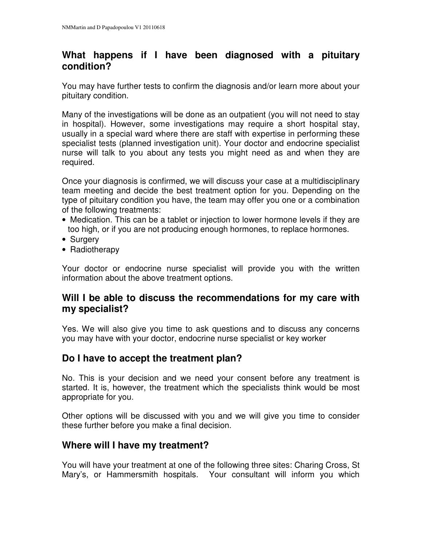# **What happens if I have been diagnosed with a pituitary condition?**

You may have further tests to confirm the diagnosis and/or learn more about your pituitary condition.

Many of the investigations will be done as an outpatient (you will not need to stay in hospital). However, some investigations may require a short hospital stay, usually in a special ward where there are staff with expertise in performing these specialist tests (planned investigation unit). Your doctor and endocrine specialist nurse will talk to you about any tests you might need as and when they are required.

Once your diagnosis is confirmed, we will discuss your case at a multidisciplinary team meeting and decide the best treatment option for you. Depending on the type of pituitary condition you have, the team may offer you one or a combination of the following treatments:

- Medication. This can be a tablet or injection to lower hormone levels if they are too high, or if you are not producing enough hormones, to replace hormones.
- Surgery
- Radiotherapy

Your doctor or endocrine nurse specialist will provide you with the written information about the above treatment options.

# **Will I be able to discuss the recommendations for my care with my specialist?**

Yes. We will also give you time to ask questions and to discuss any concerns you may have with your doctor, endocrine nurse specialist or key worker

# **Do I have to accept the treatment plan?**

No. This is your decision and we need your consent before any treatment is started. It is, however, the treatment which the specialists think would be most appropriate for you.

Other options will be discussed with you and we will give you time to consider these further before you make a final decision.

# **Where will I have my treatment?**

You will have your treatment at one of the following three sites: Charing Cross, St Mary's, or Hammersmith hospitals. Your consultant will inform you which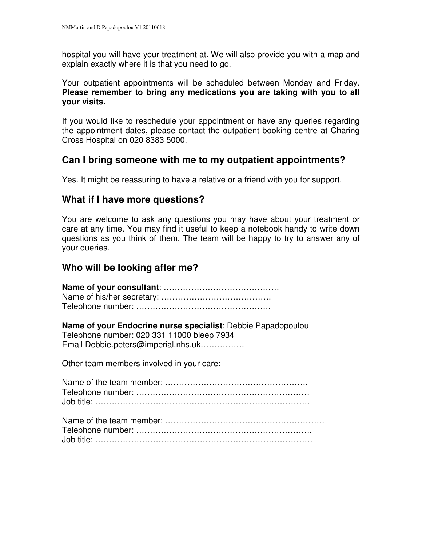hospital you will have your treatment at. We will also provide you with a map and explain exactly where it is that you need to go.

Your outpatient appointments will be scheduled between Monday and Friday. **Please remember to bring any medications you are taking with you to all your visits.**

If you would like to reschedule your appointment or have any queries regarding the appointment dates, please contact the outpatient booking centre at Charing Cross Hospital on 020 8383 5000.

### **Can I bring someone with me to my outpatient appointments?**

Yes. It might be reassuring to have a relative or a friend with you for support.

### **What if I have more questions?**

You are welcome to ask any questions you may have about your treatment or care at any time. You may find it useful to keep a notebook handy to write down questions as you think of them. The team will be happy to try to answer any of your queries.

### **Who will be looking after me?**

| Name of your Endocrine nurse specialist: Debbie Papadopoulou<br>Telephone number: 020 331 11000 bleep 7934<br>Email Debbie.peters@imperial.nhs.uk |
|---------------------------------------------------------------------------------------------------------------------------------------------------|
| Other team members involved in your care:                                                                                                         |
|                                                                                                                                                   |
|                                                                                                                                                   |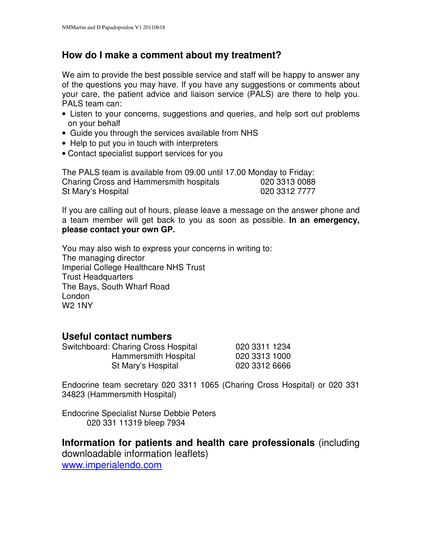# **How do I make a comment about my treatment?**

We aim to provide the best possible service and staff will be happy to answer any of the questions you may have. If you have any suggestions or comments about your care, the patient advice and liaison service (PALS) are there to help you. PALS team can:

- Listen to your concerns, suggestions and queries, and help sort out problems on your behalf
- Guide you through the services available from NHS
- Help to put you in touch with interpreters
- Contact specialist support services for you

The PALS team is available from 09.00 until 17.00 Monday to Friday: Charing Cross and Hammersmith hospitals 020 3313 0088 St Mary's Hospital 020 3312 7777

If you are calling out of hours, please leave a message on the answer phone and a team member will get back to you as soon as possible. **In an emergency, please contact your own GP.**

You may also wish to express your concerns in writing to: The managing director Imperial College Healthcare NHS Trust Trust Headquarters The Bays, South Wharf Road London W2 1NY

### **Useful contact numbers**

| Switchboard: Charing Cross Hospital | 020 3311 1234 |
|-------------------------------------|---------------|
| Hammersmith Hospital                | 020 3313 1000 |
| St Mary's Hospital                  | 020 3312 6666 |

Endocrine team secretary 020 3311 1065 (Charing Cross Hospital) or 020 331 34823 (Hammersmith Hospital)

Endocrine Specialist Nurse Debbie Peters 020 331 11319 bleep 7934

**Information for patients and health care professionals** (including downloadable information leaflets) www.imperialendo.com